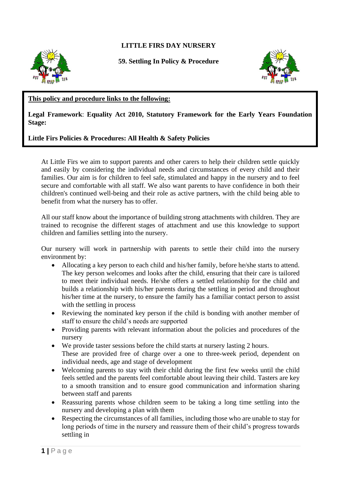## **LITTLE FIRS DAY NURSERY**



**59. Settling In Policy & Procedure**



## **This policy and procedure links to the following:**

## **Legal Framework**: **Equality Act 2010, Statutory Framework for the Early Years Foundation Stage:**

## **Little Firs Policies & Procedures: All Health & Safety Policies**

At Little Firs we aim to support parents and other carers to help their children settle quickly and easily by considering the individual needs and circumstances of every child and their families. Our aim is for children to feel safe, stimulated and happy in the nursery and to feel secure and comfortable with all staff. We also want parents to have confidence in both their children's continued well-being and their role as active partners, with the child being able to benefit from what the nursery has to offer.

All our staff know about the importance of building strong attachments with children. They are trained to recognise the different stages of attachment and use this knowledge to support children and families settling into the nursery.

Our nursery will work in partnership with parents to settle their child into the nursery environment by:

- Allocating a key person to each child and his/her family, before he/she starts to attend. The key person welcomes and looks after the child, ensuring that their care is tailored to meet their individual needs. He/she offers a settled relationship for the child and builds a relationship with his/her parents during the settling in period and throughout his/her time at the nursery, to ensure the family has a familiar contact person to assist with the settling in process
- Reviewing the nominated key person if the child is bonding with another member of staff to ensure the child's needs are supported
- Providing parents with relevant information about the policies and procedures of the nursery
- We provide taster sessions before the child starts at nursery lasting 2 hours. These are provided free of charge over a one to three-week period, dependent on individual needs, age and stage of development
- Welcoming parents to stay with their child during the first few weeks until the child feels settled and the parents feel comfortable about leaving their child. Tasters are key to a smooth transition and to ensure good communication and information sharing between staff and parents
- Reassuring parents whose children seem to be taking a long time settling into the nursery and developing a plan with them
- Respecting the circumstances of all families, including those who are unable to stay for long periods of time in the nursery and reassure them of their child's progress towards settling in